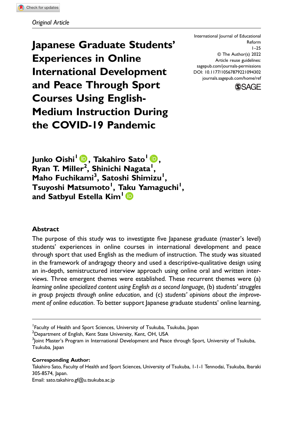Japanese Graduate Students' Experiences in Online International Development and Peace Through Sport Courses Using English-Medium Instruction During the COVID-19 Pandemic

International Journal of Educational Reform 1–25 © The Author(s) 2022 Article reuse guidelines: [sagepub.com/journals-permissions](https://us.sagepub.com/en-us/journals-permissions) DOI: 10.1177/10567879221094302 [journals.sagepub.com/home/ref](https://journals.sagepub.com/home/ref)



Junko Oishi<sup>1</sup> (D, Takahiro Sato<sup>1</sup> (D, Ryan T. Miller<sup>2</sup>, Shinichi Nagata<sup>1</sup>, Maho Fuchikami<sup>3</sup>, Satoshi Shimizu<sup>1</sup>, Tsuyoshi Matsumoto<sup>1</sup>, T[aku](https://orcid.org/0000-0002-7193-9694) Yamaguchi<sup>1</sup>, and Satbyul Estella Kim<sup>1</sup>

## Abstract

The purpose of this study was to investigate five Japanese graduate (master's level) students' experiences in online courses in international development and peace through sport that used English as the medium of instruction. The study was situated in the framework of andragogy theory and used a descriptive-qualitative design using an in-depth, semistructured interview approach using online oral and written interviews. Three emergent themes were established. These recurrent themes were (a) learning online specialized content using English as a second language, (b) students' struggles in group projects through online education, and (c) students' opinions about the improvement of online education. To better support Japanese graduate students' online learning,

 $^{\rm 2}$ Department of English, Kent State University, Kent, OH, USA

Corresponding Author:

Email: [sato.takahiro.gf@u.tsukuba.ac.jp](mailto:sato.takahiro.gf@u.tsukuba.ac.jp)

<sup>&</sup>lt;sup>1</sup> Faculty of Health and Sport Sciences, University of Tsukuba, Tsukuba, Japan

 $^3$ Joint Master's Program in International Development and Peace through Sport, University of Tsukuba, Tsukuba, Japan

Takahiro Sato, Faculty of Health and Sport Sciences, University of Tsukuba, 1-1-1 Tennodai, Tsukuba, Ibaraki 305-8574, Japan.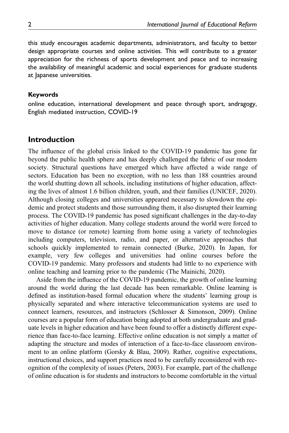this study encourages academic departments, administrators, and faculty to better design appropriate courses and online activities. This will contribute to a greater appreciation for the richness of sports development and peace and to increasing the availability of meaningful academic and social experiences for graduate students at Japanese universities.

### Keywords

online education, international development and peace through sport, andragogy, English mediated instruction, COVID-19

## Introduction

The influence of the global crisis linked to the COVID-19 pandemic has gone far beyond the public health sphere and has deeply challenged the fabric of our modern society. Structural questions have emerged which have affected a wide range of sectors. Education has been no exception, with no less than 188 countries around the world shutting down all schools, including institutions of higher education, affecting the lives of almost 1.6 billion children, youth, and their families (UNICEF, 2020). Although closing colleges and universities appeared necessary to slowdown the epidemic and protect students and those surrounding them, it also disrupted their learning process. The COVID-19 pandemic has posed significant challenges in the day-to-day activities of higher education. Many college students around the world were forced to move to distance (or remote) learning from home using a variety of technologies including computers, television, radio, and paper, or alternative approaches that schools quickly implemented to remain connected (Burke, 2020). In Japan, for example, very few colleges and universities had online courses before the COVID-19 pandemic. Many professors and students had little to no experience with online teaching and learning prior to the pandemic (The Mainichi, 2020).

Aside from the influence of the COVID-19 pandemic, the growth of online learning around the world during the last decade has been remarkable. Online learning is defined as institution-based formal education where the students' learning group is physically separated and where interactive telecommunication systems are used to connect learners, resources, and instructors (Schlosser & Simonson, 2009). Online courses are a popular form of education being adopted at both undergraduate and graduate levels in higher education and have been found to offer a distinctly different experience than face-to-face learning. Effective online education is not simply a matter of adapting the structure and modes of interaction of a face-to-face classroom environment to an online platform (Gorsky & Blau, 2009). Rather, cognitive expectations, instructional choices, and support practices need to be carefully reconsidered with recognition of the complexity of issues (Peters, 2003). For example, part of the challenge of online education is for students and instructors to become comfortable in the virtual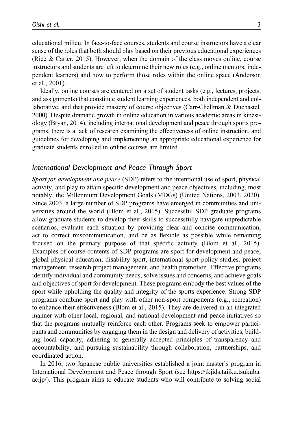educational milieu. In face-to-face courses, students and course instructors have a clear sense of the roles that both should play based on their previous educational experiences (Rice & Carter, 2015). However, when the domain of the class moves online, course instructors and students are left to determine their new roles (e.g., online mentors; independent learners) and how to perform those roles within the online space (Anderson et al., 2001).

Ideally, online courses are centered on a set of student tasks (e.g., lectures, projects, and assignments) that constitute student learning experiences, both independent and collaborative, and that provide mastery of course objectives (Carr-Chellman & Duchastel, 2000). Despite dramatic growth in online education in various academic areas in kinesiology (Bryan, 2014), including international development and peace through sports programs, there is a lack of research examining the effectiveness of online instruction, and guidelines for developing and implementing an appropriate educational experience for graduate students enrolled in online courses are limited.

#### International Development and Peace Through Sport

Sport for development and peace (SDP) refers to the intentional use of sport, physical activity, and play to attain specific development and peace objectives, including, most notably, the Millennium Development Goals (MDGs) (United Nations, 2003, 2020). Since 2003, a large number of SDP programs have emerged in communities and universities around the world (Blom et al., 2015). Successful SDP graduate programs allow graduate students to develop their skills to successfully navigate unpredictable scenarios, evaluate each situation by providing clear and concise communication, act to correct miscommunication, and be as flexible as possible while remaining focused on the primary purpose of that specific activity (Blom et al., 2015). Examples of course contents of SDP programs are sport for development and peace, global physical education, disability sport, international sport policy studies, project management, research project management, and health promotion. Effective programs identify individual and community needs, solve issues and concerns, and achieve goals and objectives of sport for development. These programs embody the best values of the sport while upholding the quality and integrity of the sports experience. Strong SDP programs combine sport and play with other non-sport components (e.g., recreation) to enhance their effectiveness (Blom et al., 2015). They are delivered in an integrated manner with other local, regional, and national development and peace initiatives so that the programs mutually reinforce each other. Programs seek to empower participants and communities by engaging them in the design and delivery of activities, building local capacity, adhering to generally accepted principles of transparency and accountability, and pursuing sustainability through collaboration, partnerships, and coordinated action.

In 2016, two Japanese public universities established a joint master's program in International Development and Peace through Sport (see [https://tkjids.taiiku.tsukuba.](https://tkjids.taiiku.tsukuba.ac.jp/) [ac.jp/\)](https://tkjids.taiiku.tsukuba.ac.jp/). This program aims to educate students who will contribute to solving social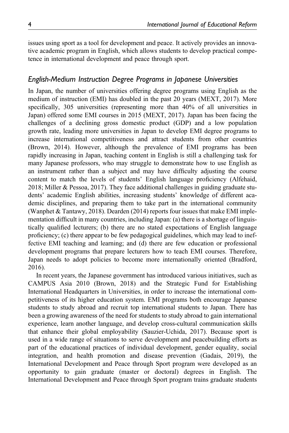issues using sport as a tool for development and peace. It actively provides an innovative academic program in English, which allows students to develop practical competence in international development and peace through sport.

# English-Medium Instruction Degree Programs in Japanese Universities

In Japan, the number of universities offering degree programs using English as the medium of instruction (EMI) has doubled in the past 20 years (MEXT, 2017). More specifically, 305 universities (representing more than 40% of all universities in Japan) offered some EMI courses in 2015 (MEXT, 2017). Japan has been facing the challenges of a declining gross domestic product (GDP) and a low population growth rate, leading more universities in Japan to develop EMI degree programs to increase international competitiveness and attract students from other countries (Brown, 2014). However, although the prevalence of EMI programs has been rapidly increasing in Japan, teaching content in English is still a challenging task for many Japanese professors, who may struggle to demonstrate how to use English as an instrument rather than a subject and may have difficulty adjusting the course content to match the levels of students' English language proficiency (Alfehaid, 2018; Miller & Pessoa, 2017). They face additional challenges in guiding graduate students' academic English abilities, increasing students' knowledge of different academic disciplines, and preparing them to take part in the international community (Wanphet & Tantawy, 2018). Dearden (2014) reports four issues that make EMI implementation difficult in many countries, including Japan: (a) there is a shortage of linguistically qualified lecturers; (b) there are no stated expectations of English language proficiency; (c) there appear to be few pedagogical guidelines, which may lead to ineffective EMI teaching and learning; and (d) there are few education or professional development programs that prepare lecturers how to teach EMI courses. Therefore, Japan needs to adopt policies to become more internationally oriented (Bradford, 2016).

In recent years, the Japanese government has introduced various initiatives, such as CAMPUS Asia 2010 (Brown, 2018) and the Strategic Fund for Establishing International Headquarters in Universities, in order to increase the international competitiveness of its higher education system. EMI programs both encourage Japanese students to study abroad and recruit top international students to Japan. There has been a growing awareness of the need for students to study abroad to gain international experience, learn another language, and develop cross-cultural communication skills that enhance their global employability (Sauzier-Uchida, 2017). Because sport is used in a wide range of situations to serve development and peacebuilding efforts as part of the educational practices of individual development, gender equality, social integration, and health promotion and disease prevention (Gadais, 2019), the International Development and Peace through Sport program were developed as an opportunity to gain graduate (master or doctoral) degrees in English. The International Development and Peace through Sport program trains graduate students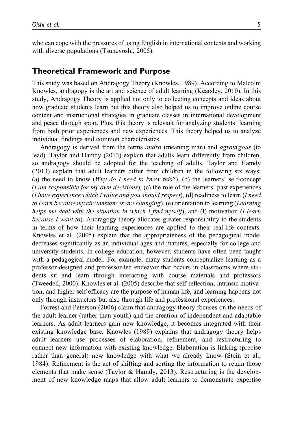who can cope with the pressures of using English in international contexts and working with diverse populations (Tsuneyoshi, 2005).

## Theoretical Framework and Purpose

This study was based on Andragogy Theory (Knowles, 1989). According to Malcolm Knowles, andragogy is the art and science of adult learning (Kearsley, 2010). In this study, Andragogy Theory is applied not only to collecting concepts and ideas about how graduate students learn but this theory also helped us to improve online course content and instructional strategies in graduate classes in international development and peace through sport. Plus, this theory is relevant for analyzing students' learning from both prior experiences and new experiences. This theory helped us to analyze individual findings and common characteristics.

Andragogy is derived from the terms *andro* (meaning man) and *agrourgous* (to lead). Taylor and Hamdy (2013) explain that adults learn differently from children, so andragogy should be adopted for the teaching of adults. Taylor and Hamdy (2013) explain that adult learners differ from children in the following six ways: (a) the need to know (Why do I need to know this?), (b) the learners' self-concept  $(I \, am \, responsible \, for \, my \, own \, decisions), (c)$  the role of the learners' past experiences (I have experience which I value and you should respect), (d) readiness to learn (I need to learn because my circumstances are changing), (e) orientation to learning (Learning helps me deal with the situation in which I find myself), and (f) motivation (I learn because I want to). Andragogy theory allocates greater responsibility to the students in terms of how their learning experiences are applied to their real-life contexts. Knowles et al. (2005) explain that the appropriateness of the pedagogical model decreases significantly as an individual ages and matures, especially for college and university students. In college education, however, students have often been taught with a pedagogical model. For example, many students conceptualize learning as a professor-designed and professor-led endeavor that occurs in classrooms where students sit and learn through interacting with course materials and professors (Tweedell, 2000). Knowles et al. (2005) describe that self-reflection, intrinsic motivation, and higher self-efficacy are the purpose of human life, and learning happens not only through instructors but also through life and professional experiences.

Forrest and Peterson (2006) claim that andragogy theory focuses on the needs of the adult learner (rather than youth) and the creation of independent and adaptable learners. As adult learners gain new knowledge, it becomes integrated with their existing knowledge base. Knowles (1989) explains that andragogy theory helps adult learners use processes of elaboration, refinement, and restructuring to connect new information with existing knowledge. Elaboration is linking (precise rather than general) new knowledge with what we already know (Stein et al., 1984). Refinement is the act of shifting and sorting the information to retain those elements that make sense (Taylor & Hamdy, 2013). Restructuring is the development of new knowledge maps that allow adult learners to demonstrate expertise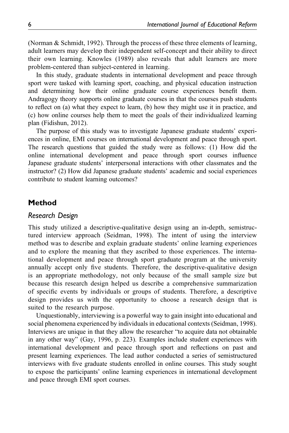(Norman & Schmidt, 1992). Through the process of these three elements of learning, adult learners may develop their independent self-concept and their ability to direct their own learning. Knowles (1989) also reveals that adult learners are more problem-centered than subject-centered in learning.

In this study, graduate students in international development and peace through sport were tasked with learning sport, coaching, and physical education instruction and determining how their online graduate course experiences benefit them. Andragogy theory supports online graduate courses in that the courses push students to reflect on (a) what they expect to learn, (b) how they might use it in practice, and (c) how online courses help them to meet the goals of their individualized learning plan (Fidishun, 2012).

The purpose of this study was to investigate Japanese graduate students' experiences in online, EMI courses on international development and peace through sport. The research questions that guided the study were as follows: (1) How did the online international development and peace through sport courses influence Japanese graduate students' interpersonal interactions with other classmates and the instructor? (2) How did Japanese graduate students' academic and social experiences contribute to student learning outcomes?

## Method

#### Research Design

This study utilized a descriptive-qualitative design using an in-depth, semistructured interview approach (Seidman, 1998). The intent of using the interview method was to describe and explain graduate students' online learning experiences and to explore the meaning that they ascribed to those experiences. The international development and peace through sport graduate program at the university annually accept only five students. Therefore, the descriptive-qualitative design is an appropriate methodology, not only because of the small sample size but because this research design helped us describe a comprehensive summarization of specific events by individuals or groups of students. Therefore, a descriptive design provides us with the opportunity to choose a research design that is suited to the research purpose.

Unquestionably, interviewing is a powerful way to gain insight into educational and social phenomena experienced by individuals in educational contexts (Seidman, 1998). Interviews are unique in that they allow the researcher "to acquire data not obtainable in any other way" (Gay, 1996, p. 223). Examples include student experiences with international development and peace through sport and reflections on past and present learning experiences. The lead author conducted a series of semistructured interviews with five graduate students enrolled in online courses. This study sought to expose the participants' online learning experiences in international development and peace through EMI sport courses.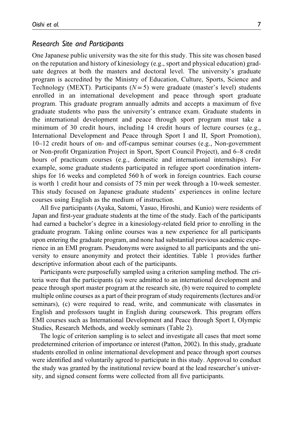#### Research Site and Participants

One Japanese public university was the site for this study. This site was chosen based on the reputation and history of kinesiology (e.g., sport and physical education) graduate degrees at both the masters and doctoral level. The university's graduate program is accredited by the Ministry of Education, Culture, Sports, Science and Technology (MEXT). Participants  $(N=5)$  were graduate (master's level) students enrolled in an international development and peace through sport graduate program. This graduate program annually admits and accepts a maximum of five graduate students who pass the university's entrance exam. Graduate students in the international development and peace through sport program must take a minimum of 30 credit hours, including 14 credit hours of lecture courses (e.g., International Development and Peace through Sport I and II, Sport Promotion), 10–12 credit hours of on- and off-campus seminar courses (e.g., Non-government or Non-profit Organization Project in Sport, Sport Council Project), and 6–8 credit hours of practicum courses (e.g., domestic and international internships). For example, some graduate students participated in refugee sport coordination internships for 16 weeks and completed 560 h of work in foreign countries. Each course is worth 1 credit hour and consists of 75 min per week through a 10-week semester. This study focused on Japanese graduate students' experiences in online lecture courses using English as the medium of instruction.

All five participants (Ayaka, Satomi, Yasuo, Hiroshi, and Kunio) were residents of Japan and first-year graduate students at the time of the study. Each of the participants had earned a bachelor's degree in a kinesiology-related field prior to enrolling in the graduate program. Taking online courses was a new experience for all participants upon entering the graduate program, and none had substantial previous academic experience in an EMI program. Pseudonyms were assigned to all participants and the university to ensure anonymity and protect their identities. Table 1 provides further descriptive information about each of the participants.

Participants were purposefully sampled using a criterion sampling method. The criteria were that the participants (a) were admitted to an international development and peace through sport master program at the research site, (b) were required to complete multiple online courses as a part of their program of study requirements (lectures and/or seminars), (c) were required to read, write, and communicate with classmates in English and professors taught in English during coursework. This program offers EMI courses such as International Development and Peace through Sport I, Olympic Studies, Research Methods, and weekly seminars (Table 2).

The logic of criterion sampling is to select and investigate all cases that meet some predetermined criterion of importance or interest (Patton, 2002). In this study, graduate students enrolled in online international development and peace through sport courses were identified and voluntarily agreed to participate in this study. Approval to conduct the study was granted by the institutional review board at the lead researcher's university, and signed consent forms were collected from all five participants.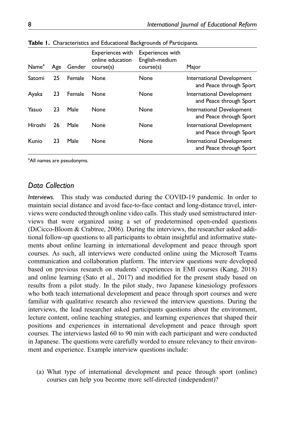| Name <sup>a</sup> | Age | Gender | <b>Experiences with</b><br>online education<br>course(s) | Experiences with<br>English-medium<br>course(s) | Major                                                |
|-------------------|-----|--------|----------------------------------------------------------|-------------------------------------------------|------------------------------------------------------|
| Satomi            | 25  | Female | None                                                     | None                                            | International Development<br>and Peace through Sport |
| Ayaka             | 23  | Female | None                                                     | None                                            | International Development<br>and Peace through Sport |
| Yasuo             | 23  | Male   | None                                                     | None                                            | International Development<br>and Peace through Sport |
| Hiroshi           | 26  | Male   | None                                                     | None                                            | International Development<br>and Peace through Sport |
| Kunio             | 23  | Male   | None                                                     | None                                            | International Development<br>and Peace through Sport |

Table 1. Characteristics and Educational Backgrounds of Participants.

<sup>a</sup>All names are pseudonyms.

## Data Collection

Interviews. This study was conducted during the COVID-19 pandemic. In order to maintain social distance and avoid face-to-face contact and long-distance travel, interviews were conducted through online video calls. This study used semistructured interviews that were organized using a set of predetermined open-ended questions (DiCicco-Bloom & Crabtree, 2006). During the interviews, the researcher asked additional follow-up questions to all participants to obtain insightful and informative statements about online learning in international development and peace through sport courses. As such, all interviews were conducted online using the Microsoft Teams communication and collaboration platform. The interview questions were developed based on previous research on students' experiences in EMI courses (Kang, 2018) and online learning (Sato et al., 2017) and modified for the present study based on results from a pilot study. In the pilot study, two Japanese kinesiology professors who both teach international development and peace through sport courses and were familiar with qualitative research also reviewed the interview questions. During the interviews, the lead researcher asked participants questions about the environment, lecture content, online teaching strategies, and learning experiences that shaped their positions and experiences in international development and peace through sport courses. The interviews lasted 60 to 90 min with each participant and were conducted in Japanese. The questions were carefully worded to ensure relevancy to their environment and experience. Example interview questions include:

(a) What type of international development and peace through sport (online) courses can help you become more self-directed (independent)?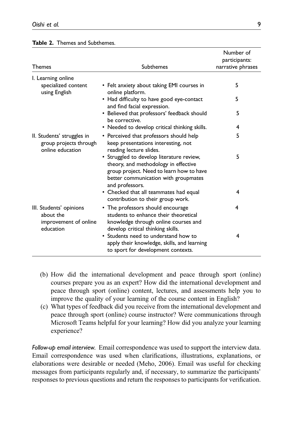| Themes                                                                     | Subthemes                                                                                                                                                                                | Number of<br>participants:<br>narrative phrases |
|----------------------------------------------------------------------------|------------------------------------------------------------------------------------------------------------------------------------------------------------------------------------------|-------------------------------------------------|
| I. Learning online                                                         |                                                                                                                                                                                          | 5                                               |
| specialized content<br>using English                                       | • Felt anxiety about taking EMI courses in<br>online platform.                                                                                                                           |                                                 |
|                                                                            | • Had difficulty to have good eye-contact<br>and find facial expression.                                                                                                                 | 5                                               |
|                                                                            | • Believed that professors' feedback should<br>be corrective.                                                                                                                            | 5                                               |
|                                                                            | • Needed to develop critical thinking skills.                                                                                                                                            | 4                                               |
| II. Students' struggles in<br>group projects through<br>online education   | • Perceived that professors should help<br>keep presentations interesting, not<br>reading lecture slides.                                                                                | 5                                               |
|                                                                            | • Struggled to develop literature review,<br>theory, and methodology in effective<br>group project. Need to learn how to have<br>better communication with groupmates<br>and professors. | 5                                               |
|                                                                            | • Checked that all teammates had equal<br>contribution to their group work.                                                                                                              | 4                                               |
| III. Students' opinions<br>about the<br>improvement of online<br>education | • The professors should encourage<br>students to enhance their theoretical<br>knowledge through online courses and<br>develop critical thinking skills.                                  | 4                                               |
|                                                                            | • Students need to understand how to<br>apply their knowledge, skills, and learning<br>to sport for development contexts.                                                                | 4                                               |

|  |  | Table 2. Themes and Subthemes. |  |
|--|--|--------------------------------|--|
|--|--|--------------------------------|--|

- (b) How did the international development and peace through sport (online) courses prepare you as an expert? How did the international development and peace through sport (online) content, lectures, and assessments help you to improve the quality of your learning of the course content in English?
- (c) What types of feedback did you receive from the international development and peace through sport (online) course instructor? Were communications through Microsoft Teams helpful for your learning? How did you analyze your learning experience?

Follow-up email interview. Email correspondence was used to support the interview data. Email correspondence was used when clarifications, illustrations, explanations, or elaborations were desirable or needed (Meho, 2006). Email was useful for checking messages from participants regularly and, if necessary, to summarize the participants' responses to previous questions and return the responses to participants for verification.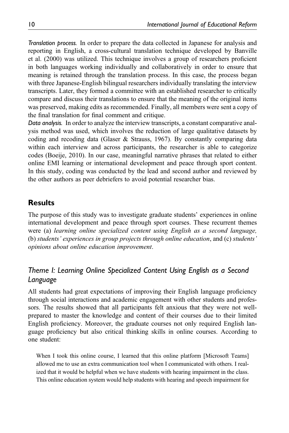Translation process. In order to prepare the data collected in Japanese for analysis and reporting in English, a cross-cultural translation technique developed by Banville et al. (2000) was utilized. This technique involves a group of researchers proficient in both languages working individually and collaboratively in order to ensure that meaning is retained through the translation process. In this case, the process began with three Japanese-English bilingual researchers individually translating the interview transcripts. Later, they formed a committee with an established researcher to critically compare and discuss their translations to ensure that the meaning of the original items was preserved, making edits as recommended. Finally, all members were sent a copy of the final translation for final comment and critique.

Data analysis. In order to analyze the interview transcripts, a constant comparative analysis method was used, which involves the reduction of large qualitative datasets by coding and recoding data (Glaser & Strauss, 1967). By constantly comparing data within each interview and across participants, the researcher is able to categorize codes (Boeije, 2010). In our case, meaningful narrative phrases that related to either online EMI learning or international development and peace through sport content. In this study, coding was conducted by the lead and second author and reviewed by the other authors as peer debriefers to avoid potential researcher bias.

# **Results**

The purpose of this study was to investigate graduate students' experiences in online international development and peace through sport courses. These recurrent themes were (a) learning online specialized content using English as a second language, (b) students' experiences in group projects through online education, and (c) students' opinions about online education improvement.

# Theme I: Learning Online Specialized Content Using English as a Second Language

All students had great expectations of improving their English language proficiency through social interactions and academic engagement with other students and professors. The results showed that all participants felt anxious that they were not wellprepared to master the knowledge and content of their courses due to their limited English proficiency. Moreover, the graduate courses not only required English language proficiency but also critical thinking skills in online courses. According to one student:

When I took this online course, I learned that this online platform [Microsoft Teams] allowed me to use an extra communication tool when I communicated with others. I realized that it would be helpful when we have students with hearing impairment in the class. This online education system would help students with hearing and speech impairment for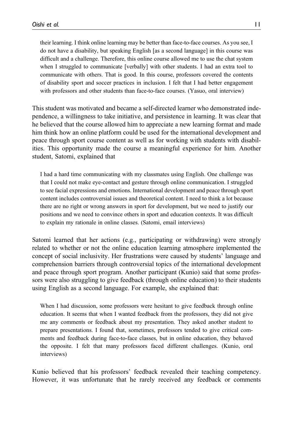their learning. I think online learning may be better than face-to-face courses. As you see, I do not have a disability, but speaking English [as a second language] in this course was difficult and a challenge. Therefore, this online course allowed me to use the chat system when I struggled to communicate [verbally] with other students. I had an extra tool to communicate with others. That is good. In this course, professors covered the contents of disability sport and soccer practices in inclusion. I felt that I had better engagement with professors and other students than face-to-face courses. (Yasuo, oral interview)

This student was motivated and became a self-directed learner who demonstrated independence, a willingness to take initiative, and persistence in learning. It was clear that he believed that the course allowed him to appreciate a new learning format and made him think how an online platform could be used for the international development and peace through sport course content as well as for working with students with disabilities. This opportunity made the course a meaningful experience for him. Another student, Satomi, explained that

I had a hard time communicating with my classmates using English. One challenge was that I could not make eye-contact and gesture through online communication. I struggled to see facial expressions and emotions. International development and peace through sport content includes controversial issues and theoretical content. I need to think a lot because there are no right or wrong answers in sport for development, but we need to justify our positions and we need to convince others in sport and education contexts. It was difficult to explain my rationale in online classes. (Satomi, email interviews)

Satomi learned that her actions (e.g., participating or withdrawing) were strongly related to whether or not the online education learning atmosphere implemented the concept of social inclusivity. Her frustrations were caused by students' language and comprehension barriers through controversial topics of the international development and peace through sport program. Another participant (Kunio) said that some professors were also struggling to give feedback (through online education) to their students using English as a second language. For example, she explained that:

When I had discussion, some professors were hesitant to give feedback through online education. It seems that when I wanted feedback from the professors, they did not give me any comments or feedback about my presentation. They asked another student to prepare presentations. I found that, sometimes, professors tended to give critical comments and feedback during face-to-face classes, but in online education, they behaved the opposite. I felt that many professors faced different challenges. (Kunio, oral interviews)

Kunio believed that his professors' feedback revealed their teaching competency. However, it was unfortunate that he rarely received any feedback or comments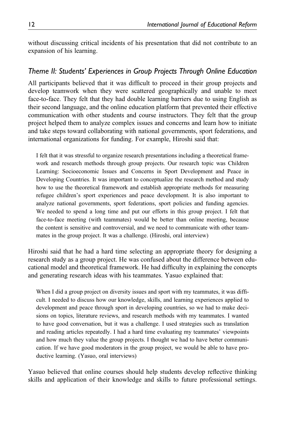without discussing critical incidents of his presentation that did not contribute to an expansion of his learning.

# Theme II: Students' Experiences in Group Projects Through Online Education

All participants believed that it was difficult to proceed in their group projects and develop teamwork when they were scattered geographically and unable to meet face-to-face. They felt that they had double learning barriers due to using English as their second language, and the online education platform that prevented their effective communication with other students and course instructors. They felt that the group project helped them to analyze complex issues and concerns and learn how to initiate and take steps toward collaborating with national governments, sport federations, and international organizations for funding. For example, Hiroshi said that:

I felt that it was stressful to organize research presentations including a theoretical framework and research methods through group projects. Our research topic was Children Learning: Socioeconomic Issues and Concerns in Sport Development and Peace in Developing Countries. It was important to conceptualize the research method and study how to use the theoretical framework and establish appropriate methods for measuring refugee children's sport experiences and peace development. It is also important to analyze national governments, sport federations, sport policies and funding agencies. We needed to spend a long time and put our efforts in this group project. I felt that face-to-face meeting (with teammates) would be better than online meeting, because the content is sensitive and controversial, and we need to communicate with other teammates in the group project. It was a challenge. (Hiroshi, oral interview)

Hiroshi said that he had a hard time selecting an appropriate theory for designing a research study as a group project. He was confused about the difference between educational model and theoretical framework. He had difficulty in explaining the concepts and generating research ideas with his teammates. Yasuo explained that:

When I did a group project on diversity issues and sport with my teammates, it was difficult. I needed to discuss how our knowledge, skills, and learning experiences applied to development and peace through sport in developing countries, so we had to make decisions on topics, literature reviews, and research methods with my teammates. I wanted to have good conversation, but it was a challenge. I used strategies such as translation and reading articles repeatedly. I had a hard time evaluating my teammates' viewpoints and how much they value the group projects. I thought we had to have better communication. If we have good moderators in the group project, we would be able to have productive learning. (Yasuo, oral interviews)

Yasuo believed that online courses should help students develop reflective thinking skills and application of their knowledge and skills to future professional settings.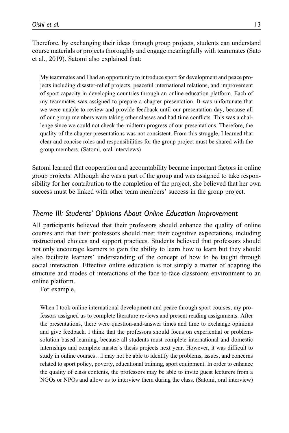Therefore, by exchanging their ideas through group projects, students can understand course materials or projects thoroughly and engage meaningfully with teammates (Sato et al., 2019). Satomi also explained that:

My teammates and I had an opportunity to introduce sport for development and peace projects including disaster-relief projects, peaceful international relations, and improvement of sport capacity in developing countries through an online education platform. Each of my teammates was assigned to prepare a chapter presentation. It was unfortunate that we were unable to review and provide feedback until our presentation day, because all of our group members were taking other classes and had time conflicts. This was a challenge since we could not check the midterm progress of our presentations. Therefore, the quality of the chapter presentations was not consistent. From this struggle, I learned that clear and concise roles and responsibilities for the group project must be shared with the group members. (Satomi, oral interviews)

Satomi learned that cooperation and accountability became important factors in online group projects. Although she was a part of the group and was assigned to take responsibility for her contribution to the completion of the project, she believed that her own success must be linked with other team members' success in the group project.

# Theme III: Students' Opinions About Online Education Improvement

All participants believed that their professors should enhance the quality of online courses and that their professors should meet their cognitive expectations, including instructional choices and support practices. Students believed that professors should not only encourage learners to gain the ability to learn how to learn but they should also facilitate learners' understanding of the concept of how to be taught through social interaction. Effective online education is not simply a matter of adapting the structure and modes of interactions of the face-to-face classroom environment to an online platform.

For example,

When I took online international development and peace through sport courses, my professors assigned us to complete literature reviews and present reading assignments. After the presentations, there were question-and-answer times and time to exchange opinions and give feedback. I think that the professors should focus on experiential or problemsolution based learning, because all students must complete international and domestic internships and complete master's thesis projects next year. However, it was difficult to study in online courses…I may not be able to identify the problems, issues, and concerns related to sport policy, poverty, educational training, sport equipment. In order to enhance the quality of class contents, the professors may be able to invite guest lecturers from a NGOs or NPOs and allow us to interview them during the class. (Satomi, oral interview)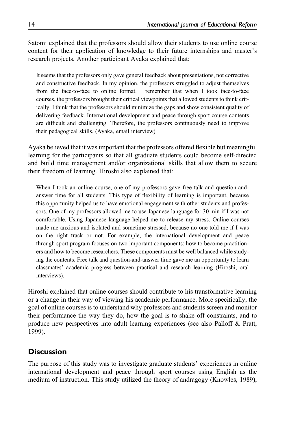Satomi explained that the professors should allow their students to use online course content for their application of knowledge to their future internships and master's research projects. Another participant Ayaka explained that:

It seems that the professors only gave general feedback about presentations, not corrective and constructive feedback. In my opinion, the professors struggled to adjust themselves from the face-to-face to online format. I remember that when I took face-to-face courses, the professors brought their critical viewpoints that allowed students to think critically. I think that the professors should minimize the gaps and show consistent quality of delivering feedback. International development and peace through sport course contents are difficult and challenging. Therefore, the professors continuously need to improve their pedagogical skills. (Ayaka, email interview)

Ayaka believed that it was important that the professors offered flexible but meaningful learning for the participants so that all graduate students could become self-directed and build time management and/or organizational skills that allow them to secure their freedom of learning. Hiroshi also explained that:

When I took an online course, one of my professors gave free talk and question-andanswer time for all students. This type of flexibility of learning is important, because this opportunity helped us to have emotional engagement with other students and professors. One of my professors allowed me to use Japanese language for 30 min if I was not comfortable. Using Japanese language helped me to release my stress. Online courses made me anxious and isolated and sometime stressed, because no one told me if I was on the right track or not. For example, the international development and peace through sport program focuses on two important components: how to become practitioners and how to become researchers. These components must be well balanced while studying the contents. Free talk and question-and-answer time gave me an opportunity to learn classmates' academic progress between practical and research learning (Hiroshi, oral interviews).

Hiroshi explained that online courses should contribute to his transformative learning or a change in their way of viewing his academic performance. More specifically, the goal of online courses is to understand why professors and students screen and monitor their performance the way they do, how the goal is to shake off constraints, and to produce new perspectives into adult learning experiences (see also Palloff & Pratt, 1999).

# **Discussion**

The purpose of this study was to investigate graduate students' experiences in online international development and peace through sport courses using English as the medium of instruction. This study utilized the theory of andragogy (Knowles, 1989),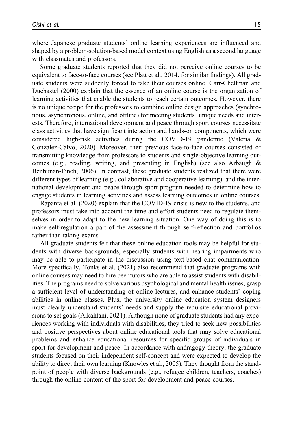where Japanese graduate students' online learning experiences are influenced and shaped by a problem-solution-based model context using English as a second language with classmates and professors.

Some graduate students reported that they did not perceive online courses to be equivalent to face-to-face courses (see Platt et al., 2014, for similar findings). All graduate students were suddenly forced to take their courses online. Carr-Chellman and Duchastel (2000) explain that the essence of an online course is the organization of learning activities that enable the students to reach certain outcomes. However, there is no unique recipe for the professors to combine online design approaches (synchronous, asynchronous, online, and offline) for meeting students' unique needs and interests. Therefore, international development and peace through sport courses necessitate class activities that have significant interaction and hands-on components, which were considered high-risk activities during the COVID-19 pandemic (Valeria & González-Calvo, 2020). Moreover, their previous face-to-face courses consisted of transmitting knowledge from professors to students and single-objective learning outcomes (e.g., reading, writing, and presenting in English) (see also Arbaugh & Benbunan-Finch, 2006). In contrast, these graduate students realized that there were different types of learning (e.g., collaborative and cooperative learning), and the international development and peace through sport program needed to determine how to engage students in learning activities and assess learning outcomes in online courses.

Rapanta et al. (2020) explain that the COVID-19 crisis is new to the students, and professors must take into account the time and effort students need to regulate themselves in order to adapt to the new learning situation. One way of doing this is to make self-regulation a part of the assessment through self-reflection and portfolios rather than taking exams.

All graduate students felt that these online education tools may be helpful for students with diverse backgrounds, especially students with hearing impairments who may be able to participate in the discussion using text-based chat communication. More specifically, Tonks et al. (2021) also recommend that graduate programs with online courses may need to hire peer tutors who are able to assist students with disabilities. The programs need to solve various psychological and mental health issues, grasp a sufficient level of understanding of online lectures, and enhance students' coping abilities in online classes. Plus, the university online education system designers must clearly understand students' needs and supply the requisite educational provisions to set goals (Alkahtani, 2021). Although none of graduate students had any experiences working with individuals with disabilities, they tried to seek new possibilities and positive perspectives about online educational tools that may solve educational problems and enhance educational resources for specific groups of individuals in sport for development and peace. In accordance with andragogy theory, the graduate students focused on their independent self-concept and were expected to develop the ability to direct their own learning (Knowles et al., 2005). They thought from the standpoint of people with diverse backgrounds (e.g., refugee children, teachers, coaches) through the online content of the sport for development and peace courses.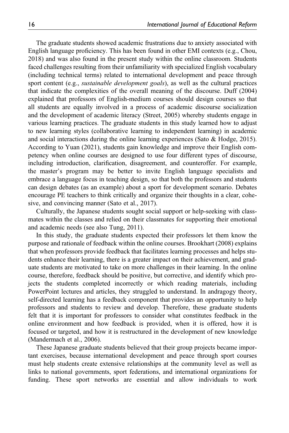The graduate students showed academic frustrations due to anxiety associated with English language proficiency. This has been found in other EMI contexts (e.g., Chou, 2018) and was also found in the present study within the online classroom. Students faced challenges resulting from their unfamiliarity with specialized English vocabulary (including technical terms) related to international development and peace through sport content (e.g., *sustainable development goals*), as well as the cultural practices that indicate the complexities of the overall meaning of the discourse. Duff (2004) explained that professors of English-medium courses should design courses so that all students are equally involved in a process of academic discourse socialization and the development of academic literacy (Street, 2005) whereby students engage in various learning practices. The graduate students in this study learned how to adjust to new learning styles (collaborative learning to independent learning) in academic and social interactions during the online learning experiences (Sato  $\&$  Hodge, 2015). According to Yuan (2021), students gain knowledge and improve their English competency when online courses are designed to use four different types of discourse, including introduction, clarification, disagreement, and counteroffer. For example, the master's program may be better to invite English language specialists and embrace a language focus in teaching design, so that both the professors and students can design debates (as an example) about a sport for development scenario. Debates encourage PE teachers to think critically and organize their thoughts in a clear, cohesive, and convincing manner (Sato et al., 2017).

Culturally, the Japanese students sought social support or help-seeking with classmates within the classes and relied on their classmates for supporting their emotional and academic needs (see also Tung, 2011).

In this study, the graduate students expected their professors let them know the purpose and rationale of feedback within the online courses. Brookhart (2008) explains that when professors provide feedback that facilitates learning processes and helps students enhance their learning, there is a greater impact on their achievement, and graduate students are motivated to take on more challenges in their learning. In the online course, therefore, feedback should be positive, but corrective, and identify which projects the students completed incorrectly or which reading materials, including PowerPoint lectures and articles, they struggled to understand. In andragogy theory, self-directed learning has a feedback component that provides an opportunity to help professors and students to review and develop. Therefore, these graduate students felt that it is important for professors to consider what constitutes feedback in the online environment and how feedback is provided, when it is offered, how it is focused or targeted, and how it is restructured in the development of new knowledge (Mandermach et al., 2006).

These Japanese graduate students believed that their group projects became important exercises, because international development and peace through sport courses must help students create extensive relationships at the community level as well as links to national governments, sport federations, and international organizations for funding. These sport networks are essential and allow individuals to work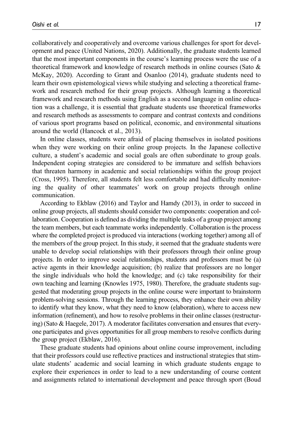collaboratively and cooperatively and overcome various challenges for sport for development and peace (United Nations, 2020). Additionally, the graduate students learned that the most important components in the course's learning process were the use of a theoretical framework and knowledge of research methods in online courses (Sato & McKay, 2020). According to Grant and Osanloo (2014), graduate students need to learn their own epistemological views while studying and selecting a theoretical framework and research method for their group projects. Although learning a theoretical framework and research methods using English as a second language in online education was a challenge, it is essential that graduate students use theoretical frameworks and research methods as assessments to compare and contrast contexts and conditions of various sport programs based on political, economic, and environmental situations around the world (Hancock et al., 2013).

In online classes, students were afraid of placing themselves in isolated positions when they were working on their online group projects. In the Japanese collective culture, a student's academic and social goals are often subordinate to group goals. Independent coping strategies are considered to be immature and selfish behaviors that threaten harmony in academic and social relationships within the group project (Cross, 1995). Therefore, all students felt less comfortable and had difficulty monitoring the quality of other teammates' work on group projects through online communication.

According to Ekblaw (2016) and Taylor and Hamdy (2013), in order to succeed in online group projects, all students should consider two components: cooperation and collaboration. Cooperation is defined as dividing the multiple tasks of a group project among the team members, but each teammate works independently. Collaboration is the process where the completed project is produced via interactions (working together) among all of the members of the group project. In this study, it seemed that the graduate students were unable to develop social relationships with their professors through their online group projects. In order to improve social relationships, students and professors must be (a) active agents in their knowledge acquisition; (b) realize that professors are no longer the single individuals who hold the knowledge; and (c) take responsibility for their own teaching and learning (Knowles 1975, 1980). Therefore, the graduate students suggested that moderating group projects in the online course were important to brainstorm problem-solving sessions. Through the learning process, they enhance their own ability to identify what they know, what they need to know (elaboration), where to access new information (refinement), and how to resolve problems in their online classes (restructuring) (Sato & Haegele, 2017). A moderator facilitates conversation and ensures that everyone participates and gives opportunities for all group members to resolve conflicts during the group project (Ekblaw, 2016).

These graduate students had opinions about online course improvement, including that their professors could use reflective practices and instructional strategies that stimulate students' academic and social learning in which graduate students engage to explore their experiences in order to lead to a new understanding of course content and assignments related to international development and peace through sport (Boud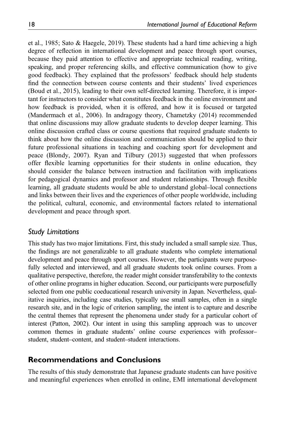et al., 1985; Sato & Haegele, 2019). These students had a hard time achieving a high degree of reflection in international development and peace through sport courses, because they paid attention to effective and appropriate technical reading, writing, speaking, and proper referencing skills, and effective communication (how to give good feedback). They explained that the professors' feedback should help students find the connection between course contents and their students' lived experiences (Boud et al., 2015), leading to their own self-directed learning. Therefore, it is important for instructors to consider what constitutes feedback in the online environment and how feedback is provided, when it is offered, and how it is focused or targeted (Mandermach et al., 2006). In andragogy theory, Chametzky (2014) recommended that online discussions may allow graduate students to develop deeper learning. This online discussion crafted class or course questions that required graduate students to think about how the online discussion and communication should be applied to their future professional situations in teaching and coaching sport for development and peace (Blondy, 2007). Ryan and Tilbury (2013) suggested that when professors offer flexible learning opportunities for their students in online education, they should consider the balance between instruction and facilitation with implications for pedagogical dynamics and professor and student relationships. Through flexible learning, all graduate students would be able to understand global–local connections and links between their lives and the experiences of other people worldwide, including the political, cultural, economic, and environmental factors related to international development and peace through sport.

# Study Limitations

This study has two major limitations. First, this study included a small sample size. Thus, the findings are not generalizable to all graduate students who complete international development and peace through sport courses. However, the participants were purposefully selected and interviewed, and all graduate students took online courses. From a qualitative perspective, therefore, the reader might consider transferability to the contexts of other online programs in higher education. Second, our participants were purposefully selected from one public coeducational research university in Japan. Nevertheless, qualitative inquiries, including case studies, typically use small samples, often in a single research site, and in the logic of criterion sampling, the intent is to capture and describe the central themes that represent the phenomena under study for a particular cohort of interest (Patton, 2002). Our intent in using this sampling approach was to uncover common themes in graduate students' online course experiences with professor– student, student–content, and student–student interactions.

# Recommendations and Conclusions

The results of this study demonstrate that Japanese graduate students can have positive and meaningful experiences when enrolled in online, EMI international development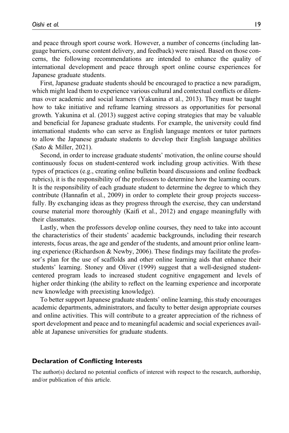and peace through sport course work. However, a number of concerns (including language barriers, course content delivery, and feedback) were raised. Based on those concerns, the following recommendations are intended to enhance the quality of international development and peace through sport online course experiences for Japanese graduate students.

First, Japanese graduate students should be encouraged to practice a new paradigm, which might lead them to experience various cultural and contextual conflicts or dilemmas over academic and social learners (Yakunina et al., 2013). They must be taught how to take initiative and reframe learning stressors as opportunities for personal growth. Yakunina et al. (2013) suggest active coping strategies that may be valuable and beneficial for Japanese graduate students. For example, the university could find international students who can serve as English language mentors or tutor partners to allow the Japanese graduate students to develop their English language abilities (Sato & Miller, 2021).

Second, in order to increase graduate students' motivation, the online course should continuously focus on student-centered work including group activities. With these types of practices (e.g., creating online bulletin board discussions and online feedback rubrics), it is the responsibility of the professors to determine how the learning occurs. It is the responsibility of each graduate student to determine the degree to which they contribute (Hannafin et al., 2009) in order to complete their group projects successfully. By exchanging ideas as they progress through the exercise, they can understand course material more thoroughly (Kaifi et al., 2012) and engage meaningfully with their classmates.

Lastly, when the professors develop online courses, they need to take into account the characteristics of their students' academic backgrounds, including their research interests, focus areas, the age and gender of the students, and amount prior online learning experience (Richardson & Newby, 2006). These findings may facilitate the professor's plan for the use of scaffolds and other online learning aids that enhance their students' learning. Stoney and Oliver (1999) suggest that a well-designed studentcentered program leads to increased student cognitive engagement and levels of higher order thinking (the ability to reflect on the learning experience and incorporate new knowledge with preexisting knowledge).

To better support Japanese graduate students' online learning, this study encourages academic departments, administrators, and faculty to better design appropriate courses and online activities. This will contribute to a greater appreciation of the richness of sport development and peace and to meaningful academic and social experiences available at Japanese universities for graduate students.

#### Declaration of Conflicting Interests

The author(s) declared no potential conflicts of interest with respect to the research, authorship, and/or publication of this article.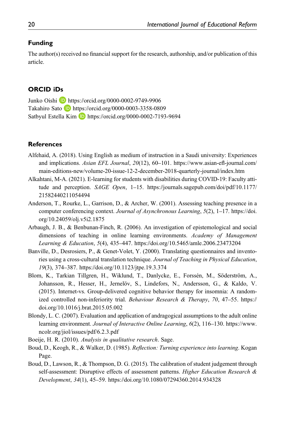## Funding

The author(s) received no financial support for the research, authorship, and/or publication of this article.

### ORCID iDs

Junko Oishi **D** <https://orcid.org/0000-0002-9749-9906> Takahiro Sato D <https://orcid.org/0000-0003-3358-0809> Satbyul Estella Kim **b** <https://orcid.org/0000-0002-7193-9694>

## **References**

- Alfehaid, A. (2018). Using English as medium of instruction in a Saudi university: Experiences and implications. Asian EFL Journal, 20(12), 60–101. [https://www.asian-e](https://www.asian-efl-journal.com/main-editions-new/volume-20-issue-12-2-december-2018-quarterly-journal/index.htm)fl-journal.com/ [main-editions-new/volume-20-issue-12-2-december-2018-quarterly-journal/index.htm](https://www.asian-efl-journal.com/main-editions-new/volume-20-issue-12-2-december-2018-quarterly-journal/index.htm)
- Alkahtani, M-A. (2021). E-learning for students with disabilities during COVID-19: Faculty attitude and perception. SAGE Open, 1–15. [https://journals.sagepub.com/doi/pdf/10.1177/](https://doi.org/https://journals.sagepub.com/doi/pdf/10.1177/21582440211054494) [21582440211054494](https://doi.org/https://journals.sagepub.com/doi/pdf/10.1177/21582440211054494)
- Anderson, T., Rourke, L., Garrison, D., & Archer, W. (2001). Assessing teaching presence in a computer conferencing context. Journal of Asynchronous Learning, 5(2), 1–17. [https://doi.](https://doi.org/10.24059/olj.v5i2.1875) [org/10.24059/olj.v5i2.1875](https://doi.org/10.24059/olj.v5i2.1875)
- Arbaugh, J. B., & Benbunan-Finch, R. (2006). An investigation of epistemological and social dimensions of teaching in online learning environments. Academy of Management Learning & Education, 5(4), 435–447.<https://doi.org/10.5465/amle.2006.23473204>
- Banville, D., Desrosiers, P., & Genet-Volet, Y. (2000). Translating questionnaires and inventories using a cross-cultural translation technique. Journal of Teaching in Physical Education, 19(3), 374–387.<https://doi.org/10.1123/jtpe.19.3.374>
- Blom, K., Tarkian Tillgren, H., Wiklund, T., Danlycke, E., Forssén, M., Söderström, A., Johansson, R., Hesser, H., Jernelöv, S., Lindefors, N., Andersson, G., & Kaldo, V. (2015). Internet-vs. Group-delivered cognitive behavior therapy for insomnia: A randomized controlled non-inferiority trial. Behaviour Research & Therapy, 70, 47–55. [https://](https://doi.org/10.1016/j.brat.2015.05.002) [doi.org/10.1016/j.brat.2015.05.002](https://doi.org/10.1016/j.brat.2015.05.002)
- Blondy, L. C. (2007). Evaluation and application of andragogical assumptions to the adult online learning environment. Journal of Interactive Online Learning, 6(2), 116–130. [https://www.](https://www.ncolr.org/jiol/issues/pdf/6.2.3.pdf) [ncolr.org/jiol/issues/pdf/6.2.3.pdf](https://www.ncolr.org/jiol/issues/pdf/6.2.3.pdf)
- Boeije, H. R. (2010). Analysis in qualitative research. Sage.
- Boud, D., Keogh, R., & Walker, D. (1985). Reflection: Turning experience into learning. Kogan Page.
- Boud, D., Lawson, R., & Thompson, D. G. (2015). The calibration of student judgement through self-assessment: Disruptive effects of assessment patterns. Higher Education Research  $\&$ Development, 34(1), 45–59.<https://doi.org/10.1080/07294360.2014.934328>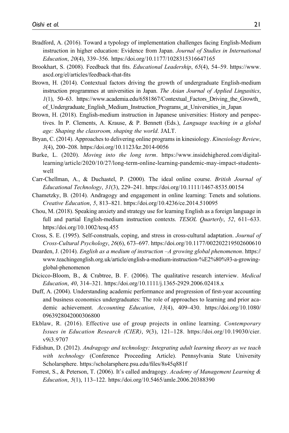- Bradford, A. (2016). Toward a typology of implementation challenges facing English-Medium instruction in higher education: Evidence from Japan. Journal of Studies in International Education, 20(4), 339–356.<https://doi.org/10.1177/1028315316647165>
- Brookhart, S. (2008). Feedback that fits. Educational Leadership, 65(4), 54–59. [https://www.](https://www.ascd.org/el/articles/feedback-that-fits) [ascd.org/el/articles/feedback-that-](https://www.ascd.org/el/articles/feedback-that-fits)fits
- Brown, H. (2014). Contextual factors driving the growth of undergraduate English-medium instruction programmes at universities in Japan. The Asian Journal of Applied Lingusitics, 1(1), 50–63. [https://www.academia.edu/6581867/Contextual\\_Factors\\_Driving\\_the\\_Growth\\_](https://www.academia.edu/6581867/Contextual_Factors_Driving_the_Growth_of_Undergraduate_English_Medium_Instruction_Programs_at_Universities_in_Japan) [of\\_Undergraduate\\_English\\_Medium\\_Instruction\\_Programs\\_at\\_Universities\\_in\\_Japan](https://www.academia.edu/6581867/Contextual_Factors_Driving_the_Growth_of_Undergraduate_English_Medium_Instruction_Programs_at_Universities_in_Japan)
- Brown, H. (2018). English-medium instruction in Japanese universities: History and perspectives. In P. Clements, A. Krause, & P. Bennett (Eds.), Language teaching in a global age: Shaping the classroom, shaping the world. JALT.
- Bryan, C. (2014). Approaches to delivering online programs in kinesiology. Kinesiology Review, 3(4), 200–208.<https://doi.org/10.1123/kr.2014-0056>
- Burke, L. (2020). Moving into the long term. [https://www.insidehighered.com/digital](https://www.insidehighered.com/digital-learning/article/2020/10/27/long-term-online-learning-pandemic-may-impact-students-well)[learning/article/2020/10/27/long-term-online-learning-pandemic-may-impact-students](https://www.insidehighered.com/digital-learning/article/2020/10/27/long-term-online-learning-pandemic-may-impact-students-well)[well](https://www.insidehighered.com/digital-learning/article/2020/10/27/long-term-online-learning-pandemic-may-impact-students-well)
- Carr-Chellman, A., & Duchastel, P. (2000). The ideal online course. British Journal of Educational Technology, 31(3), 229–241.<https://doi.org/10.1111/1467-8535.00154>
- Chametzky, B. (2014). Andragogy and engagement in online learning: Tenets and solutions. Creative Education, 5, 813–821.<https://doi.org/10.4236/ce.2014.510095>
- Chou, M. (2018). Speaking anxiety and strategy use for learning English as a foreign language in full and partial English-medium instruction contexts. TESOL Quarterly, 52, 611-633. <https://doi.org/10.1002/tesq.455>
- Cross, S. E. (1995). Self-construals, coping, and stress in cross-cultural adaptation. Journal of Cross-Cultural Psychology, 26(6), 673–697.<https://doi.org/10.1177/002202219502600610>
- Dearden, J. (2014). *English as a medium of instruction –A growing global phenomenon*. [https://](https://www.teachingenglish.org.uk/article/english-a-medium-instruction-%E2%80%93-a-growing-global-phenomenon) [www.teachingenglish.org.uk/article/english-a-medium-instruction-%E2%80%93-a-growing](https://www.teachingenglish.org.uk/article/english-a-medium-instruction-%E2%80%93-a-growing-global-phenomenon)[global-phenomenon](https://www.teachingenglish.org.uk/article/english-a-medium-instruction-%E2%80%93-a-growing-global-phenomenon)
- Dicicco-Bloom, B., & Crabtree, B. F. (2006). The qualitative research interview. Medical Education, 40, 314–321.<https://doi.org/10.1111/j.1365-2929.2006.02418.x>
- Duff, A. (2004). Understanding academic performance and progression of first-year accounting and business economics undergraduates: The role of approaches to learning and prior academic achievement. Accounting Education, 13(4), 409–430. [https://doi.org/10.1080/](https://doi.org/10.1080/0963928042000306800) [0963928042000306800](https://doi.org/10.1080/0963928042000306800)
- Ekblaw, R. (2016). Effective use of group projects in online learning. Contemporary Issues in Education Research (CIER), 9(3), 121–128. [https://doi.org/10.19030/cier.](https://doi.org/10.19030/cier.v9i3.9707) [v9i3.9707](https://doi.org/10.19030/cier.v9i3.9707)
- Fidishun, D. (2012). Andragogy and technology: Integrating adult learning theory as we teach with technology (Conference Proceeding Article). Pennsylvania State University Scholarsphere. [https://scholarsphere.psu.edu/](https://scholarsphere.psu.edu/files/8s45q881f)files/8s45q881f
- Forrest, S., & Peterson, T. (2006). It's called andragogy. Academy of Management Learning & Education, 5(1), 113–122.<https://doi.org/10.5465/amle.2006.20388390>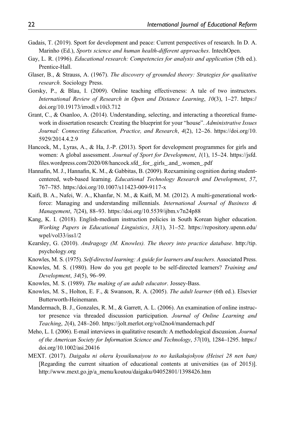- Gadais, T. (2019). Sport for development and peace: Current perspectives of research. In D. A. Marinho (Ed.), Sports science and human health-different approaches. IntechOpen.
- Gay, L. R. (1996). *Educational research: Competencies for analysis and application* (5th ed.). Prentice-Hall.
- Glaser, B., & Strauss, A. (1967). The discovery of grounded theory: Strategies for qualitative research. Sociology Press.
- Gorsky, P., & Blau, I. (2009). Online teaching effectiveness: A tale of two instructors. International Review of Research in Open and Distance Learning, 10(3), 1–27. [https://](https://doi.org/10.19173/irrodl.v10i3.712) [doi.org/10.19173/irrodl.v10i3.712](https://doi.org/10.19173/irrodl.v10i3.712)
- Grant, C., & Osanloo, A. (2014). Understanding, selecting, and interacting a theoretical framework in dissertation research: Creating the blueprint for your "house". Administrative Issues Journal: Connecting Education, Practice, and Research, 4(2), 12–26. [https://doi.org/10.](https://doi.org/10.5929/2014.4.2.9) [5929/2014.4.2.9](https://doi.org/10.5929/2014.4.2.9)
- Hancock, M., Lyras, A., & Ha, J.-P. (2013). Sport for development programmes for girls and women: A global assessment. Journal of Sport for Development, 1(1), 15–24. [https://jsfd.](https://jsfd.files.wordpress.com/2020/08/hancock.sfd_.for_.girls_.and_.women_.pdf) fi[les.wordpress.com/2020/08/hancock.sfd\\_.for\\_.girls\\_.and\\_.women\\_.pdf](https://jsfd.files.wordpress.com/2020/08/hancock.sfd_.for_.girls_.and_.women_.pdf)
- Hannafin, M. J., Hannafin, K. M., & Gabbitas, B. (2009). Reexamining cognition during studentcentered, web-based learning. Educational Technology Research and Development, 57, 767–785.<https://doi.org/10.1007/s11423-009-9117-x>
- Kaifi, B. A., Nafei, W. A., Khanfar, N. M., & Kaifi, M. M. (2012). A multi-generational workforce: Managing and understanding millennials. International Journal of Business & Management, 7(24), 88–93.<https://doi.org/10.5539/ijbm.v7n24p88>
- Kang, K. I. (2018). English-medium instruction policies in South Korean higher education. Working Papers in Educational Linguistics, 33(1), 31–52. [https://repository.upenn.edu/](https://repository.upenn.edu/wpel/vol33/iss1/2) [wpel/vol33/iss1/2](https://repository.upenn.edu/wpel/vol33/iss1/2)
- Kearsley, G. (2010). Andragogy (M. Knowles). The theory into practice database. [http://tip.](http://tip.psychology.org) [psychology.org](http://tip.psychology.org)
- Knowles, M. S. (1975). Self-directed learning: A guide for learners and teachers. Associated Press.
- Knowles, M. S. (1980). How do you get people to be self-directed learners? Training and Development, 34(5), 96–99.
- Knowles, M. S. (1989). The making of an adult educator. Jossey-Bass.
- Knowles, M. S., Holton, E. F., & Swanson, R. A. (2005). The adult learner (6th ed.). Elsevier Butterworth-Heinemann.
- Mandermach, B. J., Gonzales, R. M., & Garrett, A. L. (2006). An examination of online instructor presence via threaded discussion participation. Journal of Online Learning and Teaching, 2(4), 248–260.<https://jolt.merlot.org/vol2no4/mandernach.pdf>
- Meho, L. I. (2006). E-mail interviews in qualitative research: A methodological discussion. *Journal* of the American Society for Information Science and Technology, 57(10), 1284–1295. [https://](https://doi.org/10.1002/asi.20416) [doi.org/10.1002/asi.20416](https://doi.org/10.1002/asi.20416)
- MEXT. (2017). Daigaku ni okeru kyouikunaiyou to no kaikakujokyou (Heisei 28 nen ban) [Regarding the current situation of educational contents at universities (as of 2015)]. [http://www.mext.go.jp/a\\_menu/koutou/daigaku/04052801/1398426.htm](http://www.mext.go.jp/a_menu/koutou/daigaku/04052801/1398426.htm)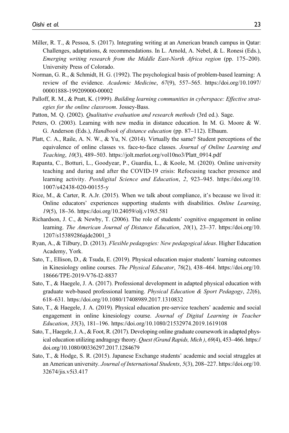- Miller, R. T., & Pessoa, S. (2017). Integrating writing at an American branch campus in Qatar: Challenges, adaptations, & recommendations. In L. Arnold, A. Nebel, & L. Ronesi (Eds.), Emerging writing research from the Middle East-North Africa region (pp. 175–200). University Press of Colorado.
- Norman, G. R., & Schmidt, H. G. (1992). The psychological basis of problem-based learning: A review of the evidence. Academic Medicine, 67(9), 557–565. [https://doi.org/10.1097/](https://doi.org/10.1097/00001888-199209000-00002) [00001888-199209000-00002](https://doi.org/10.1097/00001888-199209000-00002)
- Palloff, R. M., & Pratt, K. (1999). Building learning communities in cyberspace: Effective strategies for the online classroom. Jossey-Bass.
- Patton, M. Q. (2002). Qualitative evaluation and research methods (3rd ed.). Sage.
- Peters, O. (2003). Learning with new media in distance education. In M. G. Moore & W. G. Anderson (Eds.), Handbook of distance education (pp. 87–112). Elbaum.
- Platt, C. A., Raile, A. N. W., & Yu, N. (2014). Virtually the same? Student perceptions of the equivalence of online classes vs. face-to-face classes. Journal of Online Learning and Teaching, 10(3), 489–503. [https://jolt.merlot.org/vol10no3/Platt\\_0914.pdf](https://jolt.merlot.org/vol10no3/Platt_0914.pdf)
- Rapanta, C., Botturi, L., Goodyear, P., Guardia, L., & Koole, M. (2020). Online university teaching and during and after the COVID-19 crisis: Refocusing teacher presence and learning activity. Postdigital Science and Education, 2, 923–945. [https://doi.org/10.](https://doi.org/10.1007/s42438-020-00155-y) [1007/s42438-020-00155-y](https://doi.org/10.1007/s42438-020-00155-y)
- Rice, M., & Carter, R. A.Jr. (2015). When we talk about compliance, it's because we lived it: Online educators' experiences supporting students with disabilities. Online Learning, 19(5), 18–36.<https://doi.org/10.24059/olj.v19i5.581>
- Richardson, J. C., & Newby, T. (2006). The role of students' cognitive engagement in online learning. The American Journal of Distance Education, 20(1), 23–37. [https://doi.org/10.](https://doi.org/10.1207/s15389286ajde2001_3) [1207/s15389286ajde2001\\_3](https://doi.org/10.1207/s15389286ajde2001_3)
- Ryan, A., & Tilbury, D. (2013). Flexible pedagogies: New pedagogical ideas. Higher Education Academy, York.
- Sato, T., Ellison, D., & Tsuda, E. (2019). Physical education major students' learning outcomes in Kinesiology online courses. The Physical Educator, 76(2), 438–464. [https://doi.org/10.](https://doi.org/10.18666/TPE-2019-V76-I2-8837) [18666/TPE-2019-V76-I2-8837](https://doi.org/10.18666/TPE-2019-V76-I2-8837)
- Sato, T., & Haegele, J. A. (2017). Professional development in adapted physical education with graduate web-based professional learning. Physical Education & Sport Pedagogy, 22(6), 618–631.<https://doi.org/10.1080/17408989.2017.1310832>
- Sato, T., & Haegele, J. A. (2019). Physical education pre-service teachers' academic and social engagement in online kinesiology course. Journal of Digital Learning in Teacher Education, 35(3), 181–196.<https://doi.org/10.1080/21532974.2019.1619108>
- Sato, T., Haegele, J. A., & Foot, R. (2017). Developing online graduate coursework in adapted physical education utilizing andragogy theory. Quest (Grand Rapids, Mich ), 69(4), 453–466. [https://](https://doi.org/10.1080/00336297.2017.1284679) [doi.org/10.1080/00336297.2017.1284679](https://doi.org/10.1080/00336297.2017.1284679)
- Sato, T., & Hodge, S. R. (2015). Japanese Exchange students' academic and social struggles at an American university. Journal of International Students, 5(3), 208–227. [https://doi.org/10.](https://doi.org/10.32674/jis.v5i3.417) [32674/jis.v5i3.417](https://doi.org/10.32674/jis.v5i3.417)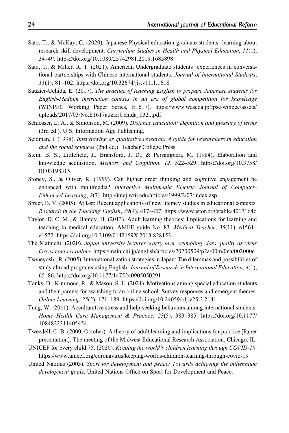- Sato, T., & McKay, C. (2020). Japanese Physical education graduate students' learning about research skill development. Curriculum Studies in Health and Physical Education, 11(1), 34–49.<https://doi.org/10.1080/25742981.2019.1685898>
- Sato, T., & Miller, R. T. (2021). American Undergraduate students' experiences in conversational partnerships with Chinese international students. Journal of International Students, 11(1), 81–102.<https://doi.org/10.32674/jis.v11i1.1618>
- Sauzier-Uchida, E. (2017). The practice of teaching English to prepare Japanese students for English-Medium instruction courses in an era of global competition for knowledge (WINPEC Working Paper Series, E1617). [https://www.waseda.jp/fpse/winpec/assets/](https://www.waseda.jp/fpse/winpec/assets/uploads/2017/03/No.E1617auzierUchida_0321.pdf) [uploads/2017/03/No.E1617auzierUchida\\_0321.pdf](https://www.waseda.jp/fpse/winpec/assets/uploads/2017/03/No.E1617auzierUchida_0321.pdf)
- Schlosser, L. A., & Simonson, M. (2009). Distance education: Definition and glossary of terms (3rd ed.). U.S. Information Age Publishing.
- Seidman, I. (1998). *Interviewing as qualitative research: A guide for researchers in education* and the social sciences (2nd ed.). Teacher College Press.
- Stein, B. S., Littlefield, J., Bransford, J. D., & Persampieri, M. (1984). Elaboration and knowledge acquisition. Memory and Cognition, 12, 522–529. [https://doi.org/10.3758/](https://doi.org/10.3758/BF03198315) [BF03198315](https://doi.org/10.3758/BF03198315)
- Stoney, S., & Oliver, R. (1999). Can higher order thinking and cognitive engagement be enhanced with multimedia? Interactive Multimedia Electric Journal of Computer-Enhanced Learning, 2(7).<http://imej.wfu.edu/articles/1999/2/07/index.asp>.
- Street, B. V. (2005). At last: Recent applications of new literacy studies in educational contexts. Research in the Teaching English, 39(4), 417–427.<https://www.jstor.org/stable/40171646>
- Taylor, D. C. M., & Hamdy, H. (2013). Adult learning theories: Implications for learning and teaching in medical education: AMEE guide No. 83. Medical Teacher, 35(11), e1561– e1572.<https://doi.org/10.3109/0142159X.2013.828153>
- The Mainichi. (2020). Japan university lectures worry over crumbling class quality as virus forces courses online.<https://mainichi.jp/english/articles/20200509/p2a/00m/0na/002000c>
- Tsuneyoshi, R. (2005). Internationalization strategies in Japan: The dilemmas and possibilities of study abroad programs using English. Journal of Research in International Education, 4(1), 65–86.<https://doi.org/10.1177/1475240905050291>
- Tonks, D., Kimmons, R., & Mason, S. L. (2021). Motivations among special education students and their parents for switching to an online school: Survey responses and emergent themes. Online Learning, 25(2), 171–189.<https://doi.org/10.24059/olj.v25i2.2141>
- Tung, W. (2011). Acculturative stress and help-seeking behaviors among international students. Home Health Care Management & Practice, 23(5), 383–385. [https://doi.org/10.1177/](https://doi.org/10.1177/1084822311405454) [1084822311405454](https://doi.org/10.1177/1084822311405454)
- Tweedell, C. B. (2000, October). A theory of adult learning and implications for practice [Paper presentation]. The meeting of the Midwest Educational Research Association. Chicago, IL.
- UNICEF for every child 75. (2020). Keeping the world's children learning through COVID-19. <https://www.unicef.org/coronavirus/keeping-worlds-children-learning-through-covid-19>
- United Nations (2003). Sport for development and peace: Towards achieving the millennium development goals. United Nations Office on Sport for Development and Peace.